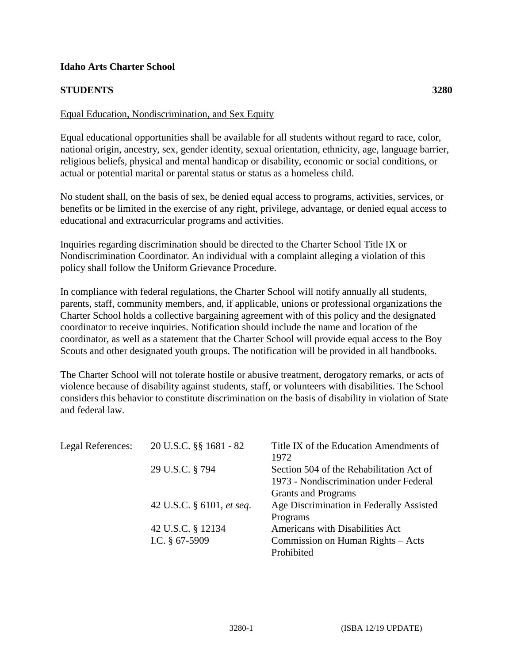## **Idaho Arts Charter School**

## **STUDENTS 3280**

## Equal Education, Nondiscrimination, and Sex Equity

Equal educational opportunities shall be available for all students without regard to race, color, national origin, ancestry, sex, gender identity, sexual orientation, ethnicity, age, language barrier, religious beliefs, physical and mental handicap or disability, economic or social conditions, or actual or potential marital or parental status or status as a homeless child.

No student shall, on the basis of sex, be denied equal access to programs, activities, services, or benefits or be limited in the exercise of any right, privilege, advantage, or denied equal access to educational and extracurricular programs and activities.

Inquiries regarding discrimination should be directed to the Charter School Title IX or Nondiscrimination Coordinator. An individual with a complaint alleging a violation of this policy shall follow the Uniform Grievance Procedure.

In compliance with federal regulations, the Charter School will notify annually all students, parents, staff, community members, and, if applicable, unions or professional organizations the Charter School holds a collective bargaining agreement with of this policy and the designated coordinator to receive inquiries. Notification should include the name and location of the coordinator, as well as a statement that the Charter School will provide equal access to the Boy Scouts and other designated youth groups. The notification will be provided in all handbooks.

The Charter School will not tolerate hostile or abusive treatment, derogatory remarks, or acts of violence because of disability against students, staff, or volunteers with disabilities. The School considers this behavior to constitute discrimination on the basis of disability in violation of State and federal law.

| Legal References: | 20 U.S.C. §§ 1681 - 82    | Title IX of the Education Amendments of  |
|-------------------|---------------------------|------------------------------------------|
|                   |                           | 1972                                     |
|                   | 29 U.S.C. § 794           | Section 504 of the Rehabilitation Act of |
|                   |                           | 1973 - Nondiscrimination under Federal   |
|                   |                           | <b>Grants and Programs</b>               |
|                   | 42 U.S.C. § 6101, et seq. | Age Discrimination in Federally Assisted |
|                   |                           | Programs                                 |
|                   | 42 U.S.C. § 12134         | Americans with Disabilities Act          |
|                   | I.C. $§$ 67-5909          | Commission on Human Rights – Acts        |
|                   |                           | Prohibited                               |